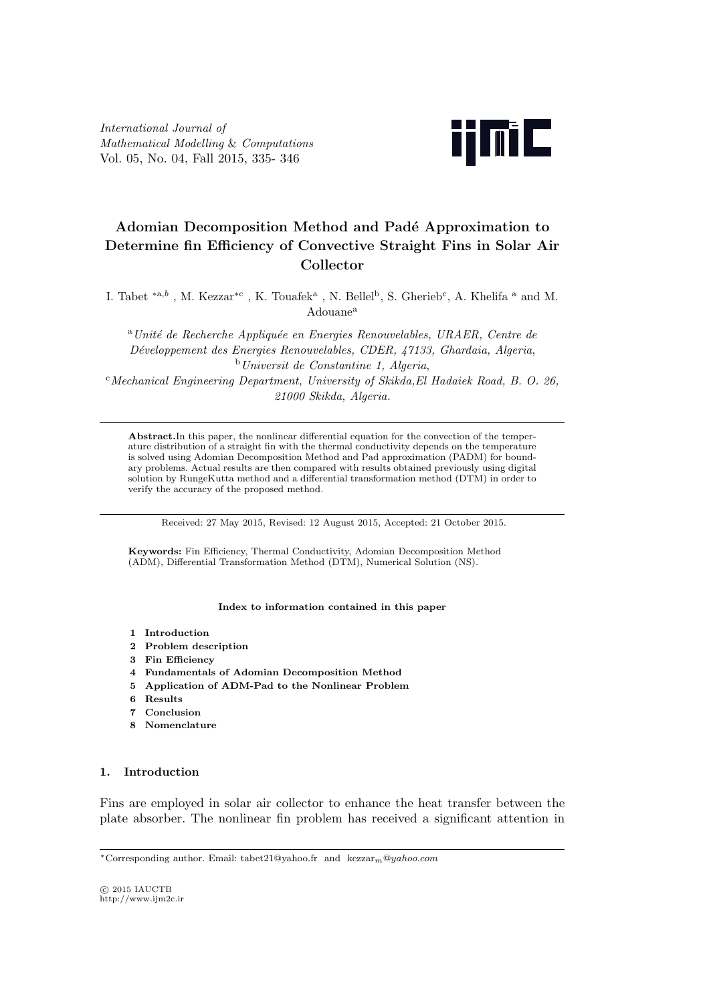*International Journal of Mathematical Modelling* & *Computations* Vol. 05, No. 04, Fall 2015, 335- 346



# Adomian Decomposition Method and Padé Approximation to **Determine fin Efficiency of Convective Straight Fins in Solar Air Collector**

I. Tabet <sup>\*a,b</sup>, M. Kezzar<sup>\*c</sup>, K. Touafek<sup>a</sup>, N. Bellel<sup>b</sup>, S. Gherieb<sup>c</sup>, A. Khelifa <sup>a</sup> and M. Adouane<sup>a</sup>

<sup>a</sup>*Unit´e de Recherche Appliqu´ee en Energies Renouvelables, URAER, Centre de D´eveloppement des Energies Renouvelables, CDER, 47133, Ghardaia, Algeria*, <sup>b</sup>*Universit de Constantine 1, Algeria*, <sup>c</sup>*Mechanical Engineering Department, University of Skikda,El Hadaiek Road, B. O. 26, 21000 Skikda, Algeria.*

**Abstract.**In this paper, the nonlinear differential equation for the convection of the temperature distribution of a straight fin with the thermal conductivity depends on the temperature is solved using Adomian Decomposition Method and Pad approximation (PADM) for boundary problems. Actual results are then compared with results obtained previously using digital solution by RungeKutta method and a differential transformation method (DTM) in order to verify the accuracy of the proposed method.

Received: 27 May 2015, Revised: 12 August 2015, Accepted: 21 October 2015.

**Keywords:** Fin Efficiency, Thermal Conductivity, Adomian Decomposition Method (ADM), Differential Transformation Method (DTM), Numerical Solution (NS).

#### **Index to information contained in this paper**

- **1 Introduction**
- **2 Problem description**
- **3 Fin Efficiency**
- **4 Fundamentals of Adomian Decomposition Method**
- **5 Application of ADM-Pad to the Nonlinear Problem**
- **6 Results**
- **7 Conclusion**
- **8 Nomenclature**

#### **1. Introduction**

Fins are employed in solar air collector to enhance the heat transfer between the plate absorber. The nonlinear fin problem has received a significant attention in

*⃝*c 2015 IAUCTB http://www.ijm2c.ir

*<sup>∗</sup>*Corresponding author. Email: tabet21@yahoo.fr and kezzar*m*@*yahoo.com*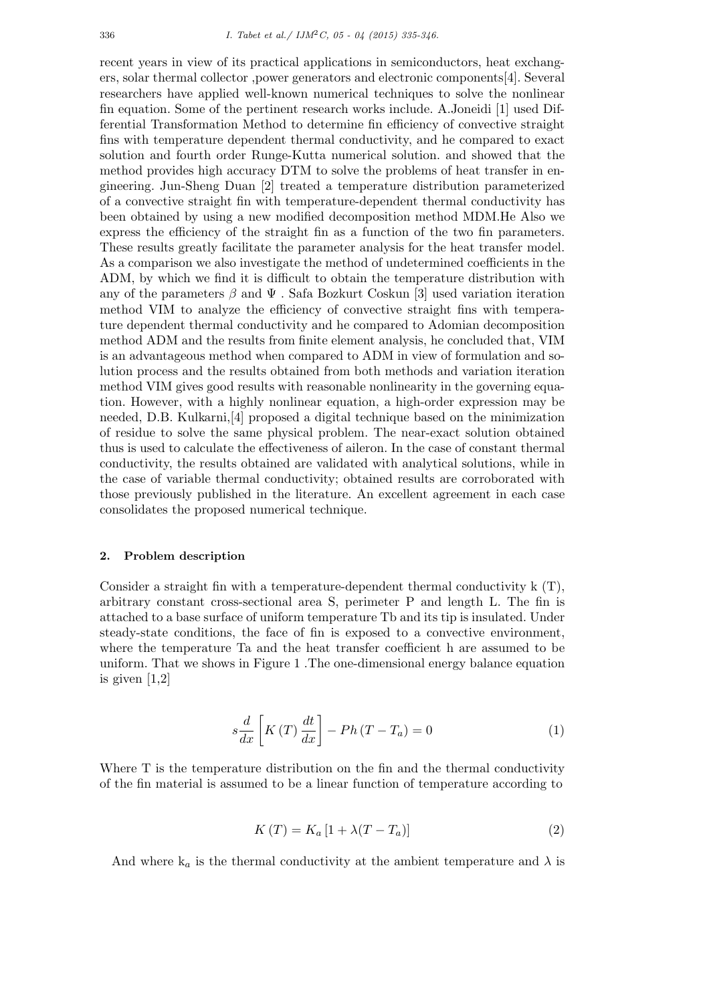recent years in view of its practical applications in semiconductors, heat exchangers, solar thermal collector ,power generators and electronic components[4]. Several researchers have applied well-known numerical techniques to solve the nonlinear fin equation. Some of the pertinent research works include. A.Joneidi [1] used Differential Transformation Method to determine fin efficiency of convective straight fins with temperature dependent thermal conductivity, and he compared to exact solution and fourth order Runge-Kutta numerical solution. and showed that the method provides high accuracy DTM to solve the problems of heat transfer in engineering. Jun-Sheng Duan [2] treated a temperature distribution parameterized of a convective straight fin with temperature-dependent thermal conductivity has been obtained by using a new modified decomposition method MDM.He Also we express the efficiency of the straight fin as a function of the two fin parameters. These results greatly facilitate the parameter analysis for the heat transfer model. As a comparison we also investigate the method of undetermined coefficients in the ADM, by which we find it is difficult to obtain the temperature distribution with any of the parameters  $\beta$  and  $\Psi$ . Safa Bozkurt Coskun [3] used variation iteration method VIM to analyze the efficiency of convective straight fins with temperature dependent thermal conductivity and he compared to Adomian decomposition method ADM and the results from finite element analysis, he concluded that, VIM is an advantageous method when compared to ADM in view of formulation and solution process and the results obtained from both methods and variation iteration method VIM gives good results with reasonable nonlinearity in the governing equation. However, with a highly nonlinear equation, a high-order expression may be needed, D.B. Kulkarni,[4] proposed a digital technique based on the minimization of residue to solve the same physical problem. The near-exact solution obtained thus is used to calculate the effectiveness of aileron. In the case of constant thermal conductivity, the results obtained are validated with analytical solutions, while in the case of variable thermal conductivity; obtained results are corroborated with those previously published in the literature. An excellent agreement in each case consolidates the proposed numerical technique.

### **2. Problem description**

Consider a straight fin with a temperature-dependent thermal conductivity k (T), arbitrary constant cross-sectional area S, perimeter P and length L. The fin is attached to a base surface of uniform temperature Tb and its tip is insulated. Under steady-state conditions, the face of fin is exposed to a convective environment, where the temperature Ta and the heat transfer coefficient h are assumed to be uniform. That we shows in Figure 1 .The one-dimensional energy balance equation is given [1,2]

$$
s\frac{d}{dx}\left[K\left(T\right)\frac{dt}{dx}\right] - Ph\left(T - T_a\right) = 0\tag{1}
$$

Where T is the temperature distribution on the fin and the thermal conductivity of the fin material is assumed to be a linear function of temperature according to

$$
K(T) = K_a [1 + \lambda (T - T_a)] \tag{2}
$$

And where  $k_a$  is the thermal conductivity at the ambient temperature and  $\lambda$  is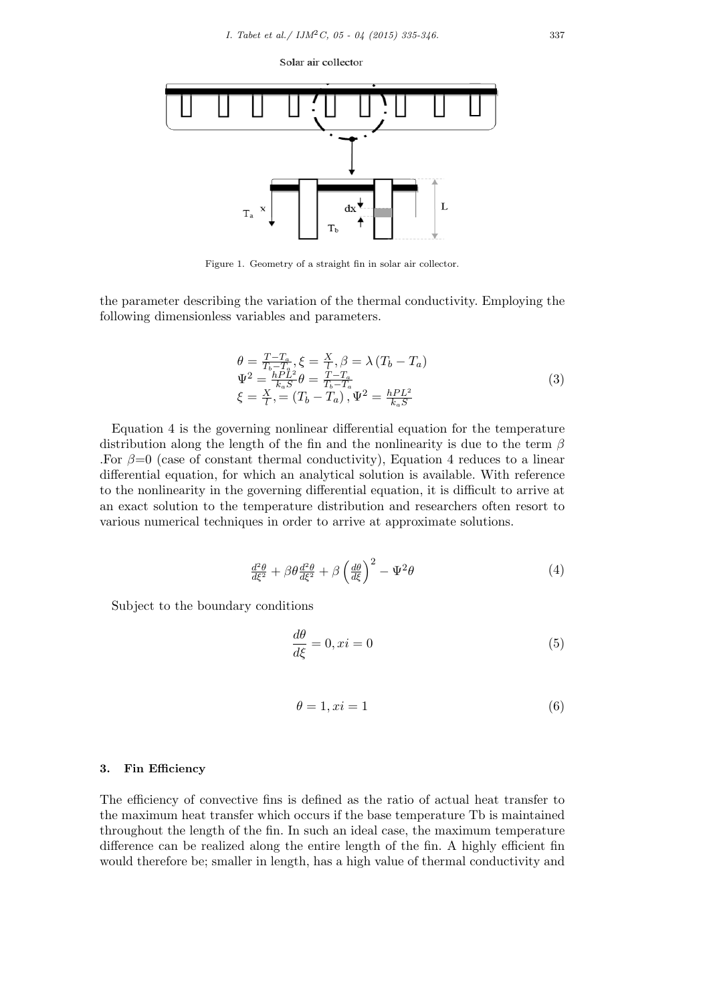Solar air collector



Figure 1. Geometry of a straight fin in solar air collector.

the parameter describing the variation of the thermal conductivity. Employing the following dimensionless variables and parameters.

$$
\theta = \frac{T - T_a}{T_b - T_a}, \xi = \frac{X}{l}, \beta = \lambda (T_b - T_a) \n\Psi^2 = \frac{hPL^2}{k_a S} \theta = \frac{T - T_a}{T_b - T_a} \n\xi = \frac{X}{l}, = (T_b - T_a), \Psi^2 = \frac{hPL^2}{k_a S}
$$
\n(3)

Equation 4 is the governing nonlinear differential equation for the temperature distribution along the length of the fin and the nonlinearity is due to the term *β* For  $\beta=0$  (case of constant thermal conductivity), Equation 4 reduces to a linear differential equation, for which an analytical solution is available. With reference to the nonlinearity in the governing differential equation, it is difficult to arrive at an exact solution to the temperature distribution and researchers often resort to various numerical techniques in order to arrive at approximate solutions.

$$
\frac{d^2\theta}{d\xi^2} + \beta\theta \frac{d^2\theta}{d\xi^2} + \beta\left(\frac{d\theta}{d\xi}\right)^2 - \Psi^2\theta\tag{4}
$$

Subject to the boundary conditions

$$
\frac{d\theta}{d\xi} = 0, xi = 0\tag{5}
$$

$$
\theta = 1, xi = 1 \tag{6}
$$

### **3. Fin Efficiency**

The efficiency of convective fins is defined as the ratio of actual heat transfer to the maximum heat transfer which occurs if the base temperature Tb is maintained throughout the length of the fin. In such an ideal case, the maximum temperature difference can be realized along the entire length of the fin. A highly efficient fin would therefore be; smaller in length, has a high value of thermal conductivity and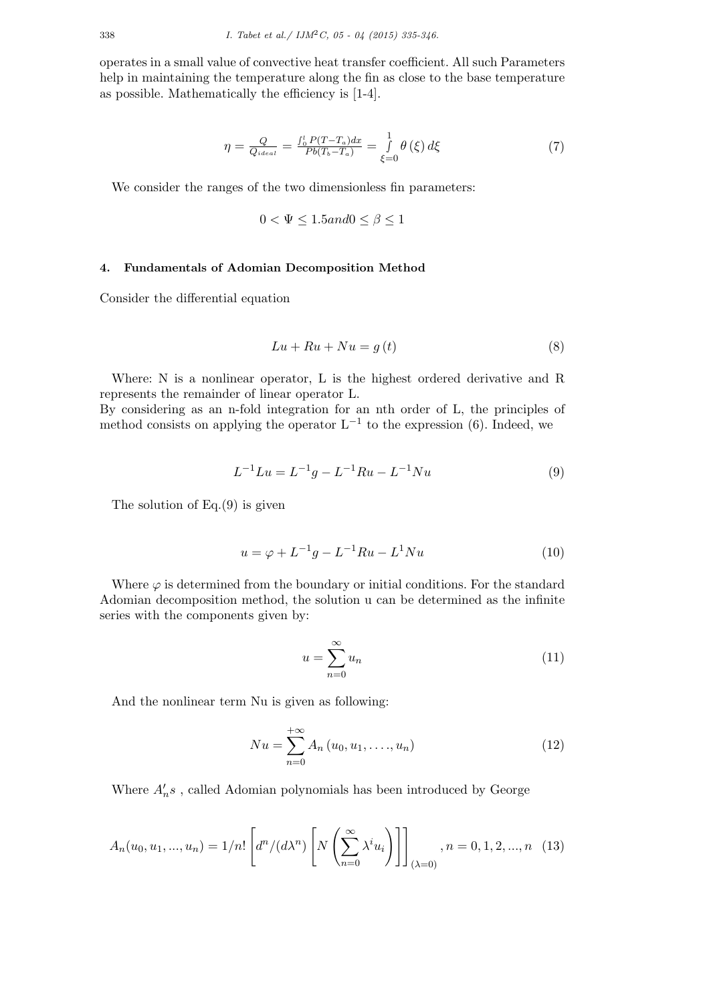operates in a small value of convective heat transfer coefficient. All such Parameters help in maintaining the temperature along the fin as close to the base temperature as possible. Mathematically the efficiency is [1-4].

$$
\eta = \frac{Q}{Q_{ideal}} = \frac{\int_0^l P(T - T_a) dx}{Pb(T_b - T_a)} = \frac{1}{\xi = 0} \theta(\xi) d\xi
$$
\n(7)

We consider the ranges of the two dimensionless fin parameters:

$$
0 < \Psi \le 1.5 \text{ and } 0 \le \beta \le 1
$$

# **4. Fundamentals of Adomian Decomposition Method**

Consider the differential equation

$$
Lu + Ru + Nu = g(t)
$$
\n<sup>(8)</sup>

Where: N is a nonlinear operator, L is the highest ordered derivative and R represents the remainder of linear operator L.

By considering as an n-fold integration for an nth order of L, the principles of method consists on applying the operator L*−*<sup>1</sup> to the expression (6). Indeed, we

$$
L^{-1}Lu = L^{-1}g - L^{-1}Ru - L^{-1}Nu
$$
\n(9)

The solution of Eq.(9) is given

$$
u = \varphi + L^{-1}g - L^{-1}Ru - L^{1}Nu
$$
\n(10)

Where  $\varphi$  is determined from the boundary or initial conditions. For the standard Adomian decomposition method, the solution u can be determined as the infinite series with the components given by:

$$
u = \sum_{n=0}^{\infty} u_n \tag{11}
$$

And the nonlinear term Nu is given as following:

$$
Nu = \sum_{n=0}^{+\infty} A_n (u_0, u_1, \dots, u_n)
$$
 (12)

Where  $A'_{n}s$ , called Adomian polynomials has been introduced by George

$$
A_n(u_0, u_1, ..., u_n) = 1/n! \left[ d^n/(d\lambda^n) \left[ N \left( \sum_{n=0}^{\infty} \lambda^i u_i \right) \right] \right]_{(\lambda=0)}, n = 0, 1, 2, ..., n \quad (13)
$$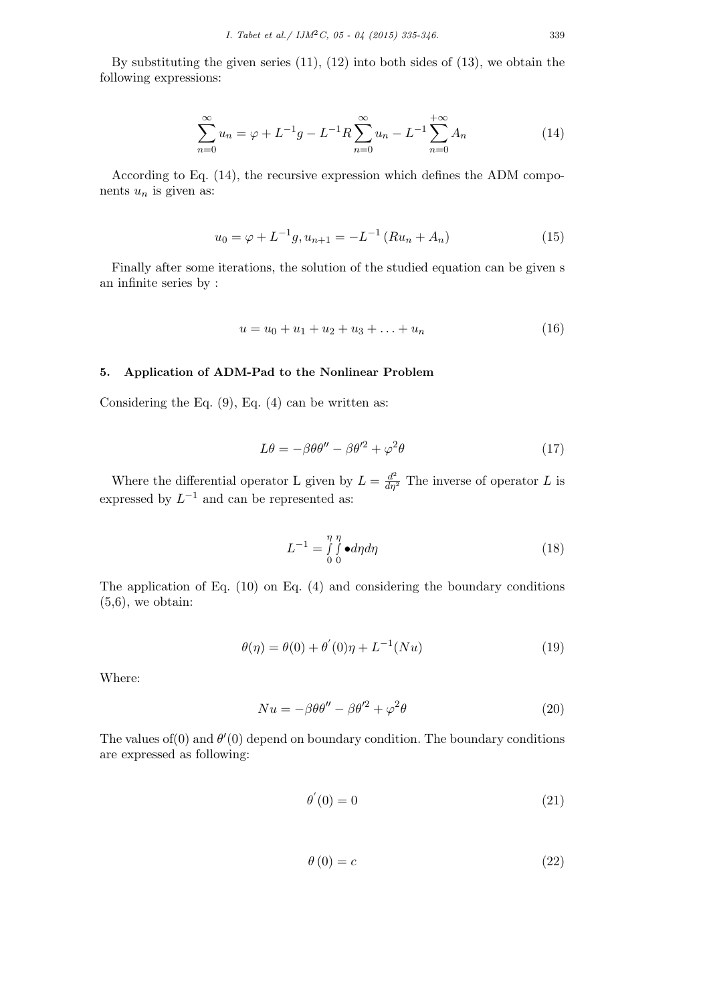By substituting the given series  $(11)$ ,  $(12)$  into both sides of  $(13)$ , we obtain the following expressions:

$$
\sum_{n=0}^{\infty} u_n = \varphi + L^{-1}g - L^{-1}R \sum_{n=0}^{\infty} u_n - L^{-1} \sum_{n=0}^{+\infty} A_n
$$
 (14)

According to Eq. (14), the recursive expression which defines the ADM components  $u_n$  is given as:

$$
u_0 = \varphi + L^{-1}g, u_{n+1} = -L^{-1}(Ru_n + A_n)
$$
\n(15)

Finally after some iterations, the solution of the studied equation can be given s an infinite series by :

$$
u = u_0 + u_1 + u_2 + u_3 + \ldots + u_n \tag{16}
$$

## **5. Application of ADM-Pad to the Nonlinear Problem**

Considering the Eq.  $(9)$ , Eq.  $(4)$  can be written as:

$$
L\theta = -\beta \theta \theta'' - \beta \theta'^2 + \varphi^2 \theta \tag{17}
$$

Where the differential operator L given by  $L = \frac{d^2}{d\eta^2}$  The inverse of operator L is expressed by  $L^{-1}$  and can be represented as:

$$
L^{-1} = \int_{0}^{\eta} \int_{0}^{\eta} \bullet d\eta d\eta \tag{18}
$$

The application of Eq. (10) on Eq. (4) and considering the boundary conditions  $(5,6)$ , we obtain:

$$
\theta(\eta) = \theta(0) + \theta'(0)\eta + L^{-1}(Nu) \tag{19}
$$

Where:

$$
Nu = -\beta \theta \theta'' - \beta \theta'^2 + \varphi^2 \theta \tag{20}
$$

The values of  $(0)$  and  $\theta'(0)$  depend on boundary condition. The boundary conditions are expressed as following:

$$
\theta^{'}(0) = 0 \tag{21}
$$

$$
\theta(0) = c \tag{22}
$$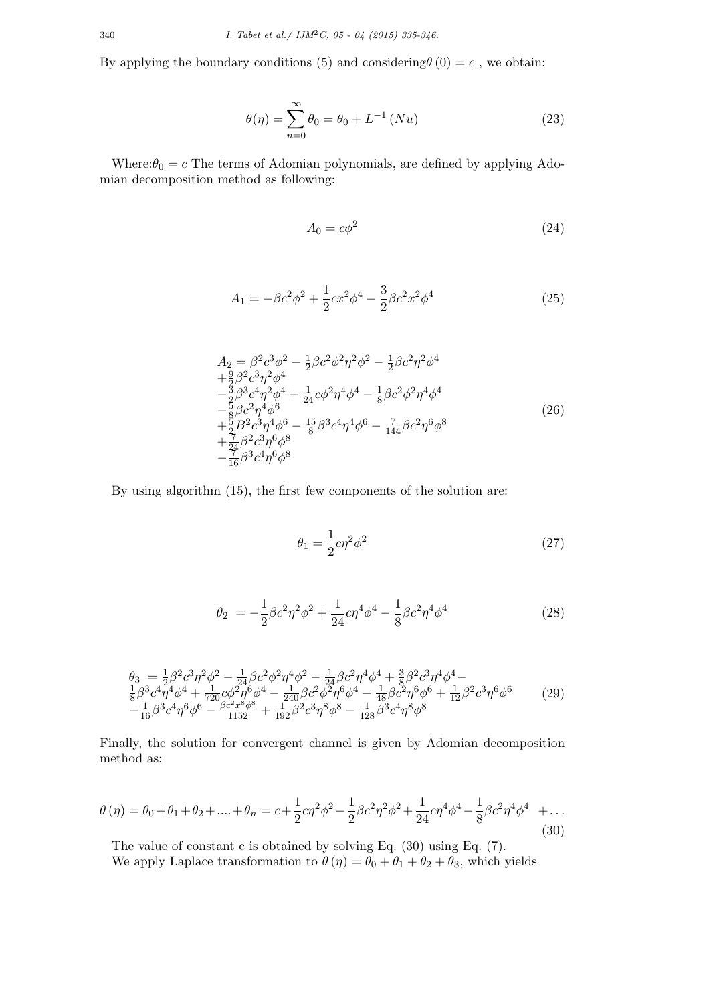By applying the boundary conditions (5) and considering $\theta(0) = c$ , we obtain:

$$
\theta(\eta) = \sum_{n=0}^{\infty} \theta_0 = \theta_0 + L^{-1} (Nu)
$$
\n(23)

Where: $\theta_0 = c$  The terms of Adomian polynomials, are defined by applying Adomian decomposition method as following:

$$
A_0 = c\phi^2 \tag{24}
$$

$$
A_1 = -\beta c^2 \phi^2 + \frac{1}{2} c x^2 \phi^4 - \frac{3}{2} \beta c^2 x^2 \phi^4 \tag{25}
$$

$$
A_2 = \beta^2 c^3 \phi^2 - \frac{1}{2} \beta c^2 \phi^2 \eta^2 \phi^2 - \frac{1}{2} \beta c^2 \eta^2 \phi^4 + \frac{9}{2} \beta^2 c^3 \eta^2 \phi^4 - \frac{3}{2} \beta^3 c^4 \eta^2 \phi^4 + \frac{1}{24} c \phi^2 \eta^4 \phi^4 - \frac{1}{8} \beta c^2 \phi^2 \eta^4 \phi^4 - \frac{5}{8} \beta c^2 \eta^4 \phi^6 + \frac{5}{2} B^2 c^3 \eta^4 \phi^6 - \frac{15}{8} \beta^3 c^4 \eta^4 \phi^6 - \frac{7}{144} \beta c^2 \eta^6 \phi^8 + \frac{7}{24} \beta^2 c^3 \eta^6 \phi^8 - \frac{7}{16} \beta^3 c^4 \eta^6 \phi^8
$$
\n(26)

By using algorithm (15), the first few components of the solution are:

$$
\theta_1 = \frac{1}{2}c\eta^2\phi^2\tag{27}
$$

$$
\theta_2 = -\frac{1}{2}\beta c^2 \eta^2 \phi^2 + \frac{1}{24}c\eta^4 \phi^4 - \frac{1}{8}\beta c^2 \eta^4 \phi^4 \tag{28}
$$

$$
\theta_{3} = \frac{1}{2}\beta^{2}c^{3}\eta^{2}\phi^{2} - \frac{1}{24}\beta c^{2}\phi^{2}\eta^{4}\phi^{2} - \frac{1}{24}\beta c^{2}\eta^{4}\phi^{4} + \frac{3}{8}\beta^{2}c^{3}\eta^{4}\phi^{4} - \frac{1}{8}\beta^{2}c^{4}\eta^{4}\phi^{4} + \frac{1}{720}c\phi^{2}\eta^{6}\phi^{4} - \frac{1}{240}\beta c^{2}\phi^{2}\eta^{6}\phi^{4} - \frac{1}{48}\beta c^{2}\eta^{6}\phi^{6} + \frac{1}{12}\beta^{2}c^{3}\eta^{6}\phi^{6} - \frac{1}{16}\beta^{3}c^{4}\eta^{6}\phi^{6} - \frac{\beta c^{2}x^{8}\phi^{8}}{1152} + \frac{1}{192}\beta^{2}c^{3}\eta^{8}\phi^{8} - \frac{1}{128}\beta^{3}c^{4}\eta^{8}\phi^{8}
$$
\n(29)

Finally, the solution for convergent channel is given by Adomian decomposition method as:

$$
\theta(\eta) = \theta_0 + \theta_1 + \theta_2 + \dots + \theta_n = c + \frac{1}{2}c\eta^2\phi^2 - \frac{1}{2}\beta c^2\eta^2\phi^2 + \frac{1}{24}c\eta^4\phi^4 - \frac{1}{8}\beta c^2\eta^4\phi^4 + \dots
$$
\n(30)

The value of constant c is obtained by solving Eq. (30) using Eq. (7).

We apply Laplace transformation to  $\theta(\eta) = \theta_0 + \theta_1 + \theta_2 + \theta_3$ , which yields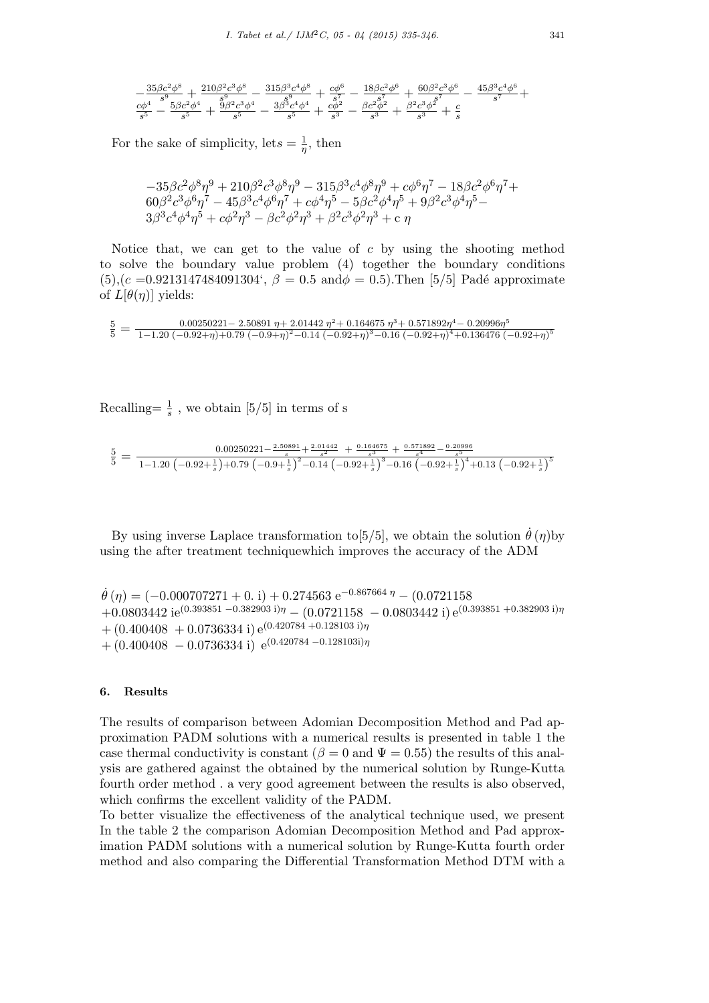$$
\begin{array}{r} -\frac{35 \beta c^2 \phi ^8}{s^9}+\frac{210 \beta ^2 c^3 \phi ^8}{s^9}-\frac{315 \beta ^3 c^4 \phi ^8}{s^9}+\frac{c \phi ^6}{s^7}-\frac{18 \beta c^2 \phi ^6}{s^7}+\frac{60 \beta ^2 c^3 \phi ^6}{s^7}-\frac{45 \beta ^3 c^4 \phi ^6}{s^7}+\frac{c \phi ^4}{s^5}-\frac{3 \beta c^2 \phi ^4}{s^5}+\frac{3 \beta ^2 c^3 \phi ^4}{s^5}+\frac{c \phi ^2}{s^3}-\frac{3 c^2 \phi ^2}{s^3}+\frac{c \phi ^2}{s^3}+\frac{ \beta ^2 c^3 \phi ^2}{s^3}+\frac{c}{s} \end{array}
$$

For the sake of simplicity, let  $s = \frac{1}{n}$  $\frac{1}{\eta}$ , then

$$
-35\beta c^2 \phi^8 \eta^9 + 210\beta^2 c^3 \phi^8 \eta^9 - 315\beta^3 c^4 \phi^8 \eta^9 + c\phi^6 \eta^7 - 18\beta c^2 \phi^6 \eta^7 + 60\beta^2 c^3 \phi^6 \eta^7 - 45\beta^3 c^4 \phi^6 \eta^7 + c\phi^4 \eta^5 - 5\beta c^2 \phi^4 \eta^5 + 9\beta^2 c^3 \phi^4 \eta^5 - 3\beta^3 c^4 \phi^4 \eta^5 + c\phi^2 \eta^3 - \beta c^2 \phi^2 \eta^3 + \beta^2 c^3 \phi^2 \eta^3 + c\eta
$$

Notice that, we can get to the value of *c* by using the shooting method to solve the boundary value problem (4) together the boundary conditions  $(5)$ , $(c = 0.9213147484091304$ <sup>'</sup>,  $\beta = 0.5$  and $\phi = 0.5$ ). Then [5/5] Padé approximate of  $L[\theta(\eta)]$  yields:

$$
\frac{5}{5} = \frac{0.00250221 - 2.50891 \ \eta + 2.01442 \ \eta^2 + 0.164675 \ \eta^3 + 0.571892 \eta^4 - 0.20996 \eta^5}{1 - 1.20 \ (-0.92 + \eta) + 0.79 \ (-0.9 + \eta)^2 - 0.14 \ (-0.92 + \eta)^3 - 0.16 \ (-0.92 + \eta)^4 + 0.136476 \ (-0.92 + \eta)^5}
$$

Recalling= $\frac{1}{s}$ , we obtain [5/5] in terms of s

$$
\frac{5}{5} = \frac{0.00250221 - \frac{2.50891}{s} + \frac{2.01442}{s^2} + \frac{0.164675}{s^3} + \frac{0.571892}{s^4} - \frac{0.20996}{s^5}}{1 - 1.20 \left(-0.92 + \frac{1}{s}\right) + 0.79 \left(-0.9 + \frac{1}{s}\right)^2 - 0.14 \left(-0.92 + \frac{1}{s}\right)^3 - 0.16 \left(-0.92 + \frac{1}{s}\right)^4 + 0.13 \left(-0.92 + \frac{1}{s}\right)^5}
$$

By using inverse Laplace transformation to  $[5/5]$ , we obtain the solution  $\dot{\theta}(\eta)$  by using the after treatment techniquewhich improves the accuracy of the ADM

```
˙θ (η) = (−0.000707271 + 0. i) + 0.274563 e−0.867664 η − (0.0721158
+0.0803442 ie(0.393851 −0.382903 i)η − (0.0721158 − 0.0803442 i) e(0.393851 +0.382903 i)η
+(0.400408 + 0.0736334 \text{ i}) e^{(0.420784 + 0.128103 \text{ i})\eta}+ (0.400408 − 0.0736334 i) e(0.420784 −0.128103i)η
```
## **6. Results**

The results of comparison between Adomian Decomposition Method and Pad approximation PADM solutions with a numerical results is presented in table 1 the case thermal conductivity is constant ( $\beta = 0$  and  $\Psi = 0.55$ ) the results of this analysis are gathered against the obtained by the numerical solution by Runge-Kutta fourth order method . a very good agreement between the results is also observed, which confirms the excellent validity of the PADM.

To better visualize the effectiveness of the analytical technique used, we present In the table 2 the comparison Adomian Decomposition Method and Pad approximation PADM solutions with a numerical solution by Runge-Kutta fourth order method and also comparing the Differential Transformation Method DTM with a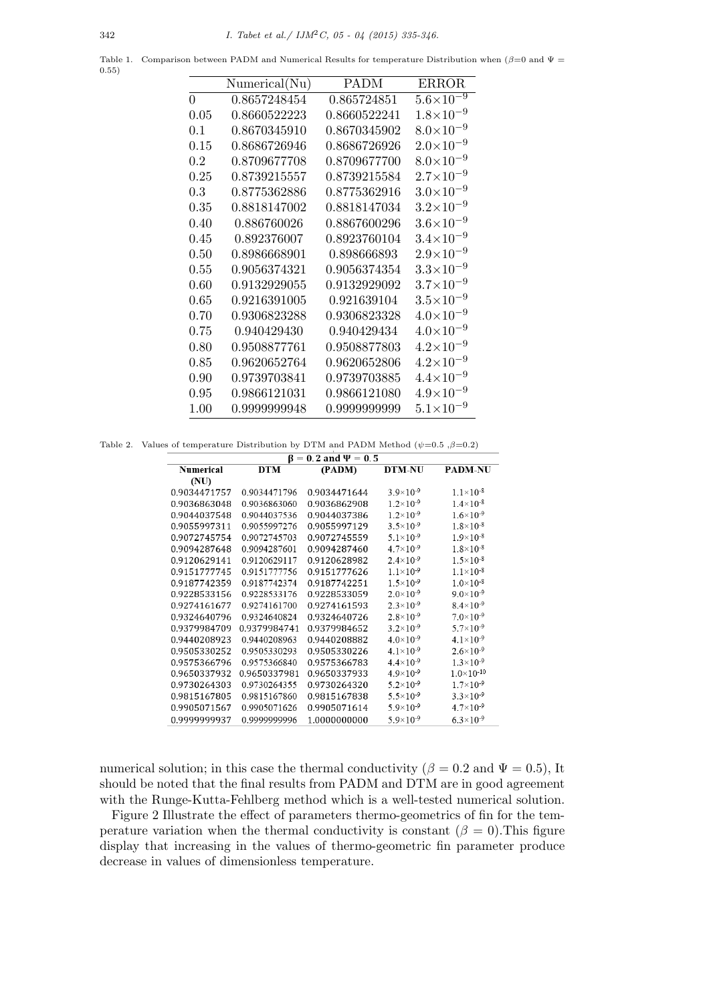Table 1. Comparison between PADM and Numerical Results for temperature Distribution when (*β*=0 and Ψ = 0.55)

|                | Numerical(Nu) | <b>PADM</b>  | <b>ERROR</b>         |
|----------------|---------------|--------------|----------------------|
| $\overline{0}$ | 0.8657248454  | 0.865724851  | $5.6 \times 10^{-9}$ |
| 0.05           | 0.8660522223  | 0.8660522241 | $1.8 \times 10^{-9}$ |
| 0.1            | 0.8670345910  | 0.8670345902 | $8.0\times10^{-9}$   |
| 0.15           | 0.8686726946  | 0.8686726926 | $2.0\times10^{-9}$   |
| 0.2            | 0.8709677708  | 0.8709677700 | $8.0\times10^{-9}$   |
| 0.25           | 0.8739215557  | 0.8739215584 | $2.7\times10^{-9}$   |
| 0.3            | 0.8775362886  | 0.8775362916 | $3.0\times10^{-9}$   |
| 0.35           | 0.8818147002  | 0.8818147034 | $3.2 \times 10^{-9}$ |
| 0.40           | 0.886760026   | 0.8867600296 | $3.6 \times 10^{-9}$ |
| 0.45           | 0.892376007   | 0.8923760104 | $3.4 \times 10^{-9}$ |
| 0.50           | 0.8986668901  | 0.898666893  | $2.9\times10^{-9}$   |
| 0.55           | 0.9056374321  | 0.9056374354 | $3.3 \times 10^{-9}$ |
| 0.60           | 0.9132929055  | 0.9132929092 | $3.7 \times 10^{-9}$ |
| 0.65           | 0.9216391005  | 0.921639104  | $3.5 \times 10^{-9}$ |
| 0.70           | 0.9306823288  | 0.9306823328 | $4.0 \times 10^{-9}$ |
| 0.75           | 0.940429430   | 0.940429434  | $4.0\times10^{-9}$   |
| 0.80           | 0.9508877761  | 0.9508877803 | $4.2 \times 10^{-9}$ |
| 0.85           | 0.9620652764  | 0.9620652806 | $4.2 \times 10^{-9}$ |
| 0.90           | 0.9739703841  | 0.9739703885 | $4.4 \times 10^{-9}$ |
| 0.95           | 0.9866121031  | 0.9866121080 | $4.9 \times 10^{-9}$ |
| 1.00           | 0.9999999948  | 0.9999999999 | $5.1 \times 10^{-9}$ |

Table 2. Values of temperature Distribution by DTM and PADM Method  $(\psi=0.5, \beta=0.2)$ 

| $\beta = 0.2$ and $\Psi = 0.5$ |              |              |                      |                       |  |  |
|--------------------------------|--------------|--------------|----------------------|-----------------------|--|--|
| <b>Numerical</b>               | <b>DTM</b>   | (PADM)       | <b>DTM-NU</b>        | <b>PADM-NU</b>        |  |  |
| (NU)                           |              |              |                      |                       |  |  |
| 0.9034471757                   | 0.9034471796 | 0.9034471644 | $3.9\times10^{-9}$   | $1.1 \times 10^{-8}$  |  |  |
| 0.9036863048                   | 0.9036863060 | 0.9036862908 | $1.2 \times 10^{-9}$ | $1.4 \times 10^{-8}$  |  |  |
| 0.9044037548                   | 0.9044037536 | 0.9044037386 | $1.2 \times 10^{-9}$ | $1.6 \times 10^{-9}$  |  |  |
| 0.9055997311                   | 0.9055997276 | 0.9055997129 | $3.5 \times 10^{-9}$ | $1.8 \times 10^{-8}$  |  |  |
| 0.9072745754                   | 0.9072745703 | 0.9072745559 | $5.1 \times 10^{-9}$ | $1.9\times10^{-8}$    |  |  |
| 0.9094287648                   | 0.9094287601 | 0.9094287460 | $4.7 \times 10^{-9}$ | $1.8 \times 10^{-8}$  |  |  |
| 0.9120629141                   | 0.9120629117 | 0.9120628982 | $2.4 \times 10^{-9}$ | $1.5 \times 10^{-8}$  |  |  |
| 0.9151777745                   | 0.9151777756 | 0.9151777626 | $1.1 \times 10^{-9}$ | $1.1 \times 10^{-8}$  |  |  |
| 0.9187742359                   | 0.9187742374 | 0.9187742251 | $1.5 \times 10^{-9}$ | $1.0 \times 10^{-8}$  |  |  |
| 0.9228533156                   | 0.9228533176 | 0.9228533059 | $2.0 \times 10^{-9}$ | $9.0\times10^{-9}$    |  |  |
| 0.9274161677                   | 0.9274161700 | 0.9274161593 | $2.3 \times 10^{-9}$ | $8.4\times10^{-9}$    |  |  |
| 0.9324640796                   | 0.9324640824 | 0.9324640726 | $2.8 \times 10^{-9}$ | $7.0\times10^{-9}$    |  |  |
| 0.9379984709                   | 0.9379984741 | 0.9379984652 | $3.2 \times 10^{-9}$ | $5.7\times10^{-9}$    |  |  |
| 0.9440208923                   | 0.9440208963 | 0.9440208882 | $4.0\times10^{-9}$   | $4.1 \times 10^{-9}$  |  |  |
| 0.9505330252                   | 0.9505330293 | 0.9505330226 | $4.1 \times 10^{-9}$ | $2.6 \times 10^{-9}$  |  |  |
| 0.9575366796                   | 0.9575366840 | 0.9575366783 | $4.4 \times 10^{-9}$ | $1.3 \times 10^{-9}$  |  |  |
| 0.9650337932                   | 0.9650337981 | 0.9650337933 | $4.9\times10^{-9}$   | $1.0 \times 10^{-10}$ |  |  |
| 0.9730264303                   | 0.9730264355 | 0.9730264320 | $5.2 \times 10^{-9}$ | $1.7 \times 10^{-9}$  |  |  |
| 0.9815167805                   | 0.9815167860 | 0.9815167838 | $5.5 \times 10^{-9}$ | $3.3 \times 10^{-9}$  |  |  |
| 0.9905071567                   | 0.9905071626 | 0.9905071614 | $5.9\times10^{-9}$   | $4.7 \times 10^{-9}$  |  |  |
| 0999999937                     | 0.999999996  | 1.0000000000 | $5.9\times10^{-9}$   | $6.3\times10^{-9}$    |  |  |

numerical solution; in this case the thermal conductivity ( $\beta = 0.2$  and  $\Psi = 0.5$ ), It should be noted that the final results from PADM and DTM are in good agreement with the Runge-Kutta-Fehlberg method which is a well-tested numerical solution.

Figure 2 Illustrate the effect of parameters thermo-geometrics of fin for the temperature variation when the thermal conductivity is constant  $(\beta = 0)$ . This figure display that increasing in the values of thermo-geometric fin parameter produce decrease in values of dimensionless temperature.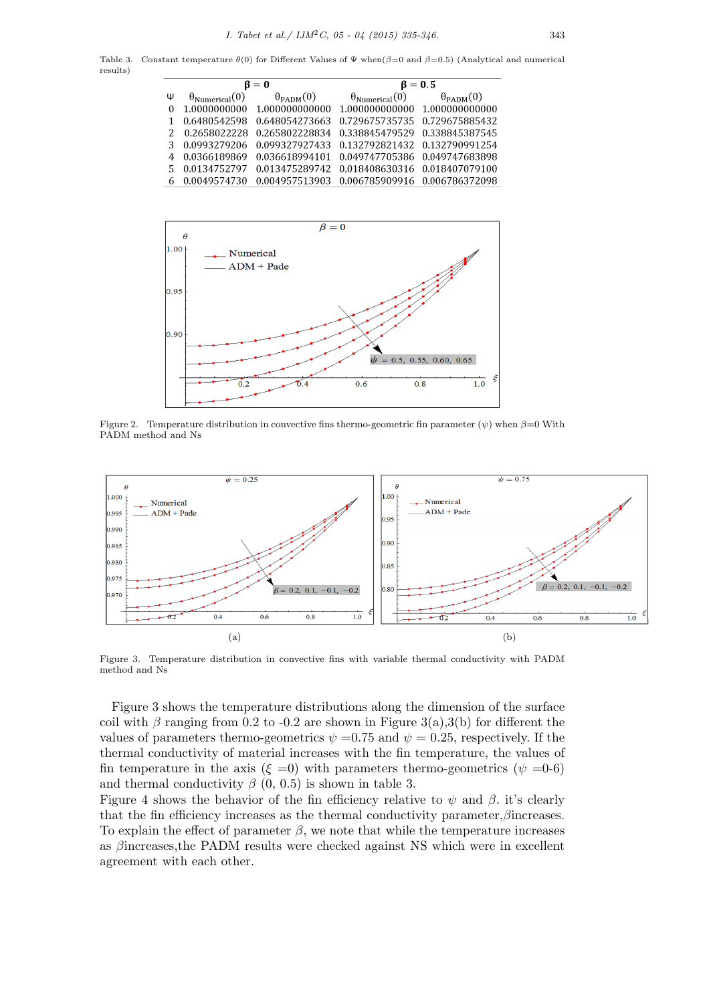Table 3. Constant temperature *θ*(0) for Different Values of Ψ when(*β*=0 and *β*=0.5) (Analytical and numerical results)

| $\beta = 0$ |                | $\beta = 0.5$                                                   |                                                          |  |
|-------------|----------------|-----------------------------------------------------------------|----------------------------------------------------------|--|
| Ψ           |                | $\theta_{\text{Numerical}}(0)$ $\theta_{\text{PADM}}(0)$        | $\theta_{\text{Numerical}}(0)$ $\theta_{\text{PADM}}(0)$ |  |
| $\Omega$    |                | $1.0000000000$ $1.000000000000$ $1.00000000000$ $1.00000000000$ |                                                          |  |
|             | 0.6480542598   |                                                                 | 0.648054273663  0.729675735735  0.729675885432           |  |
|             |                | 0.2658022228 0.265802228834 0.338845479529 0.338845387545       |                                                          |  |
|             | 0.0993279206   |                                                                 | 0.099327927433  0.132792821432  0.132790991254           |  |
|             | 0.0366189869   |                                                                 | 0.036618994101  0.049747705386  0.049747683898           |  |
| 5           | 0.0134752797   |                                                                 | 0.013475289742  0.018408630316  0.018407079100           |  |
|             | 6 0.0049574730 |                                                                 |                                                          |  |



Figure 2. Temperature distribution in convective fins thermo-geometric fin parameter  $(\psi)$  when  $\beta=0$  With PADM method and Ns



Figure 3. Temperature distribution in convective fins with variable thermal conductivity with PADM method and Ns

Figure 3 shows the temperature distributions along the dimension of the surface coil with  $\beta$  ranging from 0.2 to -0.2 are shown in Figure 3(a),3(b) for different the values of parameters thermo-geometrics  $\psi = 0.75$  and  $\psi = 0.25$ , respectively. If the thermal conductivity of material increases with the fin temperature, the values of fin temperature in the axis ( $\xi = 0$ ) with parameters thermo-geometrics ( $\psi = 0.6$ ) and thermal conductivity  $\beta$  (0, 0.5) is shown in table 3.

Figure 4 shows the behavior of the fin efficiency relative to  $\psi$  and  $\beta$ . it's clearly that the fin efficiency increases as the thermal conductivity parameter,*β*increases. To explain the effect of parameter  $\beta$ , we note that while the temperature increases as *β*increases,the PADM results were checked against NS which were in excellent agreement with each other.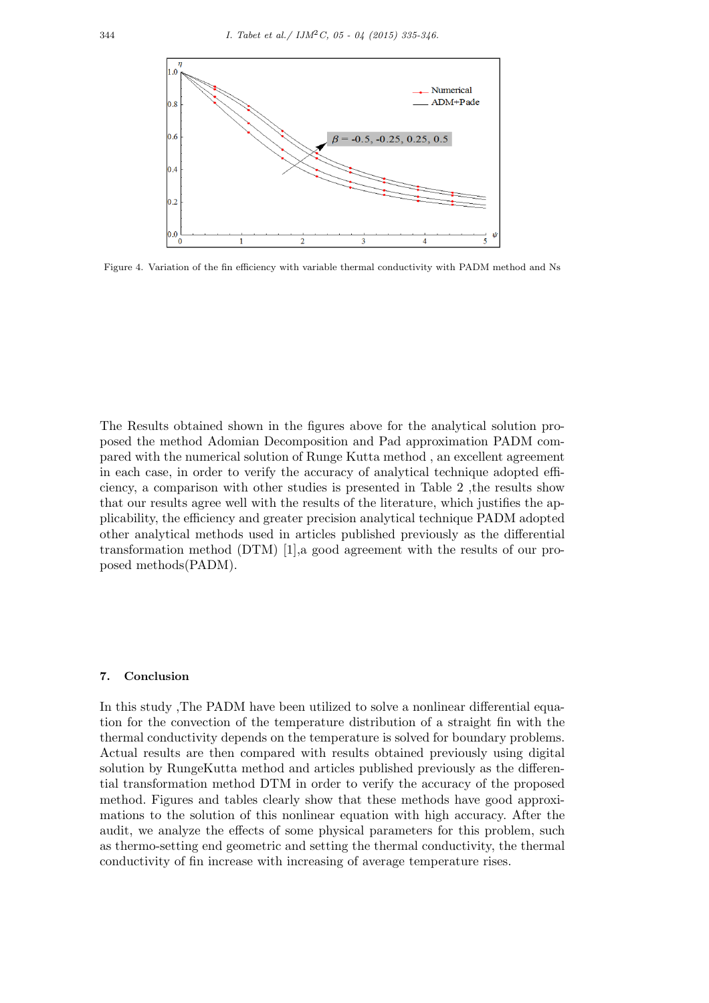

Figure 4. Variation of the fin efficiency with variable thermal conductivity with PADM method and Ns

The Results obtained shown in the figures above for the analytical solution proposed the method Adomian Decomposition and Pad approximation PADM compared with the numerical solution of Runge Kutta method , an excellent agreement in each case, in order to verify the accuracy of analytical technique adopted efficiency, a comparison with other studies is presented in Table 2 ,the results show that our results agree well with the results of the literature, which justifies the applicability, the efficiency and greater precision analytical technique PADM adopted other analytical methods used in articles published previously as the differential transformation method (DTM) [1],a good agreement with the results of our proposed methods(PADM).

# **7. Conclusion**

In this study ,The PADM have been utilized to solve a nonlinear differential equation for the convection of the temperature distribution of a straight fin with the thermal conductivity depends on the temperature is solved for boundary problems. Actual results are then compared with results obtained previously using digital solution by RungeKutta method and articles published previously as the differential transformation method DTM in order to verify the accuracy of the proposed method. Figures and tables clearly show that these methods have good approximations to the solution of this nonlinear equation with high accuracy. After the audit, we analyze the effects of some physical parameters for this problem, such as thermo-setting end geometric and setting the thermal conductivity, the thermal conductivity of fin increase with increasing of average temperature rises.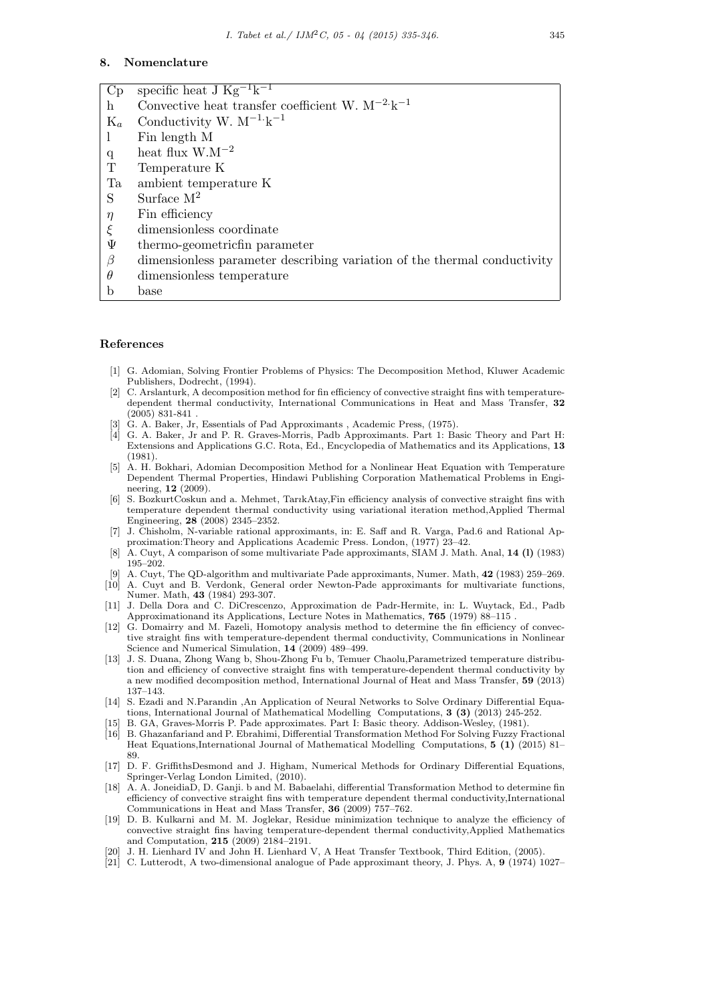#### **8. Nomenclature**

| Cp          | specific heat J $Kg^{-1}k^{-1}$                                          |
|-------------|--------------------------------------------------------------------------|
| h           | Convective heat transfer coefficient W. $M^{-2}k^{-1}$                   |
| $K_a$       | Conductivity W. $M^{-1}k^{-1}$                                           |
| 1           | Fin length M                                                             |
| q           | heat flux $W.M^{-2}$                                                     |
| $\mathbf T$ | Temperature K                                                            |
| Ta          | ambient temperature K                                                    |
| S           | Surface $M^2$                                                            |
| $\eta$      | Fin efficiency                                                           |
| $\xi$       | dimensionless coordinate                                                 |
| Ψ           | thermo-geometricfin parameter                                            |
| $\beta$     | dimensionless parameter describing variation of the thermal conductivity |
| $\theta$    | dimensionless temperature                                                |
| b           | base                                                                     |

#### **References**

- [1] G. Adomian, Solving Frontier Problems of Physics: The Decomposition Method, Kluwer Academic Publishers, Dodrecht, (1994).
- [2] C. Arslanturk, A decomposition method for fin efficiency of convective straight fins with temperaturedependent thermal conductivity, International Communications in Heat and Mass Transfer, **32** (2005) 831-841 .
- G. A. Baker, Jr, Essentials of Pad Approximants , Academic Press, (1975).
- [4] G. A. Baker, Jr and P. R. Graves-Morris, Padb Approximants. Part 1: Basic Theory and Part H: Extensions and Applications G.C. Rota, Ed., Encyclopedia of Mathematics and its Applications, **13** (1981).
- [5] A. H. Bokhari, Adomian Decomposition Method for a Nonlinear Heat Equation with Temperature Dependent Thermal Properties, Hindawi Publishing Corporation Mathematical Problems in Engineering, **12** (2009).
- [6] S. BozkurtCoskun and a. Mehmet, Tar*ı*kAtay,Fin efficiency analysis of convective straight fins with temperature dependent thermal conductivity using variational iteration method,Applied Thermal Engineering, **28** (2008) 2345–2352.
- [7] J. Chisholm, N-variable rational approximants, in: E. Saff and R. Varga, Pad.6 and Rational Approximation:Theory and Applications Academic Press. London, (1977) 23–42.
- [8] A. Cuyt, A comparison of some multivariate Pade approximants, SIAM J. Math. Anal, **14 (l)** (1983) 195–202.
- [9] A. Cuyt, The QD-algorithm and multivariate Pade approximants, Numer. Math, **42** (1983) 259–269.
- [10] A. Cuyt and B. Verdonk, General order Newton-Pade approximants for multivariate functions, Numer. Math, **43** (1984) 293-307.
- [11] J. Della Dora and C. DiCrescenzo, Approximation de Padr-Hermite, in: L. Wuytack, Ed., Padb Approximationand its Applications, Lecture Notes in Mathematics, **765** (1979) 88–115 .
- [12] G. Domairry and M. Fazeli, Homotopy analysis method to determine the fin efficiency of convective straight fins with temperature-dependent thermal conductivity, Communications in Nonlinear Science and Numerical Simulation, **14** (2009) 489–499.
- [13] J. S. Duana, Zhong Wang b, Shou-Zhong Fu b, Temuer Chaolu,Parametrized temperature distribution and efficiency of convective straight fins with temperature-dependent thermal conductivity by a new modified decomposition method, International Journal of Heat and Mass Transfer, **59** (2013) 137–143.
- [14] S. Ezadi and N.Parandin ,An Application of Neural Networks to Solve Ordinary Differential Equations, International Journal of Mathematical Modelling Computations, **3 (3)** (2013) 245-252.
- [15] B. GA, Graves-Morris P. Pade approximates. Part I: Basic theory. Addison-Wesley, (1981).
- [16] B. Ghazanfariand and P. Ebrahimi, Differential Transformation Method For Solving Fuzzy Fractional Heat Equations,International Journal of Mathematical Modelling Computations, **5 (1)** (2015) 81– 89.
- [17] D. F. GriffithsDesmond and J. Higham, Numerical Methods for Ordinary Differential Equations, Springer-Verlag London Limited, (2010).
- [18] A. A. JoneidiaD, D. Ganji. b and M. Babaelahi, differential Transformation Method to determine fin efficiency of convective straight fins with temperature dependent thermal conductivity,International Communications in Heat and Mass Transfer, **36** (2009) 757–762.
- [19] D. B. Kulkarni and M. M. Joglekar, Residue minimization technique to analyze the efficiency of convective straight fins having temperature-dependent thermal conductivity,Applied Mathematics and Computation, **215** (2009) 2184–2191.
- [20] J. H. Lienhard IV and John H. Lienhard V, A Heat Transfer Textbook, Third Edition, (2005).
- [21] C. Lutterodt, A two-dimensional analogue of Pade approximant theory, J. Phys. A, **9** (1974) 1027–